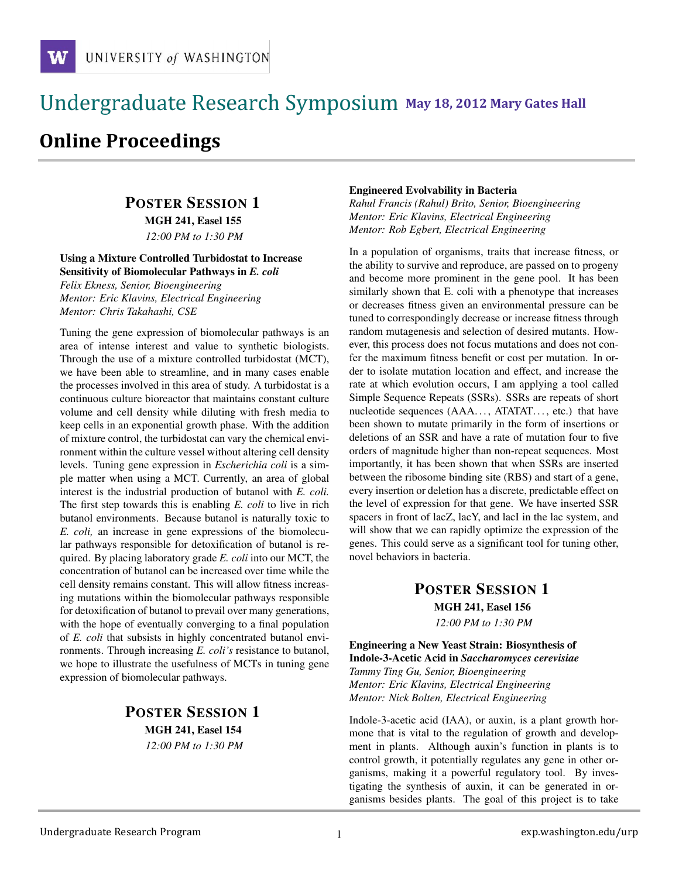### !!!!!!!!!!!!!!!!!!!!!!!!!!!!!!!!!!!!!!!!!!!!!!!!!!!!!!!!!!!!!!!!!!!!!!!!!!!!!!!!!!!!!!!!!!!!!!!!! **111 May 18, 2012 Mary Gates Hall** !!!!!!!!!!!!!!!!!!!!!!!!!!!!!!!!!!!!!!!!!!!!!!!!!!!!!!!!!!!!!!!!!!!!!!!!!!!!!!!!!!

# **Online Proceedings**

### POSTER SESSION 1

MGH 241, Easel 155

*12:00 PM to 1:30 PM*

#### Using a Mixture Controlled Turbidostat to Increase Sensitivity of Biomolecular Pathways in *E. coli*

*Felix Ekness, Senior, Bioengineering Mentor: Eric Klavins, Electrical Engineering Mentor: Chris Takahashi, CSE*

Tuning the gene expression of biomolecular pathways is an area of intense interest and value to synthetic biologists. Through the use of a mixture controlled turbidostat (MCT), we have been able to streamline, and in many cases enable the processes involved in this area of study. A turbidostat is a continuous culture bioreactor that maintains constant culture volume and cell density while diluting with fresh media to keep cells in an exponential growth phase. With the addition of mixture control, the turbidostat can vary the chemical environment within the culture vessel without altering cell density levels. Tuning gene expression in *Escherichia coli* is a simple matter when using a MCT. Currently, an area of global interest is the industrial production of butanol with *E. coli.* The first step towards this is enabling *E. coli* to live in rich butanol environments. Because butanol is naturally toxic to *E. coli,* an increase in gene expressions of the biomolecular pathways responsible for detoxification of butanol is required. By placing laboratory grade *E. coli* into our MCT, the concentration of butanol can be increased over time while the cell density remains constant. This will allow fitness increasing mutations within the biomolecular pathways responsible for detoxification of butanol to prevail over many generations, with the hope of eventually converging to a final population of *E. coli* that subsists in highly concentrated butanol environments. Through increasing *E. coli's* resistance to butanol, we hope to illustrate the usefulness of MCTs in tuning gene expression of biomolecular pathways.

### POSTER SESSION 1 MGH 241, Easel 154 *12:00 PM to 1:30 PM*

#### Engineered Evolvability in Bacteria

*Rahul Francis (Rahul) Brito, Senior, Bioengineering Mentor: Eric Klavins, Electrical Engineering Mentor: Rob Egbert, Electrical Engineering*

In a population of organisms, traits that increase fitness, or the ability to survive and reproduce, are passed on to progeny and become more prominent in the gene pool. It has been similarly shown that E. coli with a phenotype that increases or decreases fitness given an environmental pressure can be tuned to correspondingly decrease or increase fitness through random mutagenesis and selection of desired mutants. However, this process does not focus mutations and does not confer the maximum fitness benefit or cost per mutation. In order to isolate mutation location and effect, and increase the rate at which evolution occurs, I am applying a tool called Simple Sequence Repeats (SSRs). SSRs are repeats of short nucleotide sequences (AAA..., ATATAT..., etc.) that have been shown to mutate primarily in the form of insertions or deletions of an SSR and have a rate of mutation four to five orders of magnitude higher than non-repeat sequences. Most importantly, it has been shown that when SSRs are inserted between the ribosome binding site (RBS) and start of a gene, every insertion or deletion has a discrete, predictable effect on the level of expression for that gene. We have inserted SSR spacers in front of lacZ, lacY, and lacI in the lac system, and will show that we can rapidly optimize the expression of the genes. This could serve as a significant tool for tuning other, novel behaviors in bacteria.

### POSTER SESSION 1 MGH 241, Easel 156 *12:00 PM to 1:30 PM*

Engineering a New Yeast Strain: Biosynthesis of Indole-3-Acetic Acid in *Saccharomyces cerevisiae Tammy Ting Gu, Senior, Bioengineering Mentor: Eric Klavins, Electrical Engineering Mentor: Nick Bolten, Electrical Engineering*

Indole-3-acetic acid (IAA), or auxin, is a plant growth hormone that is vital to the regulation of growth and development in plants. Although auxin's function in plants is to control growth, it potentially regulates any gene in other organisms, making it a powerful regulatory tool. By investigating the synthesis of auxin, it can be generated in organisms besides plants. The goal of this project is to take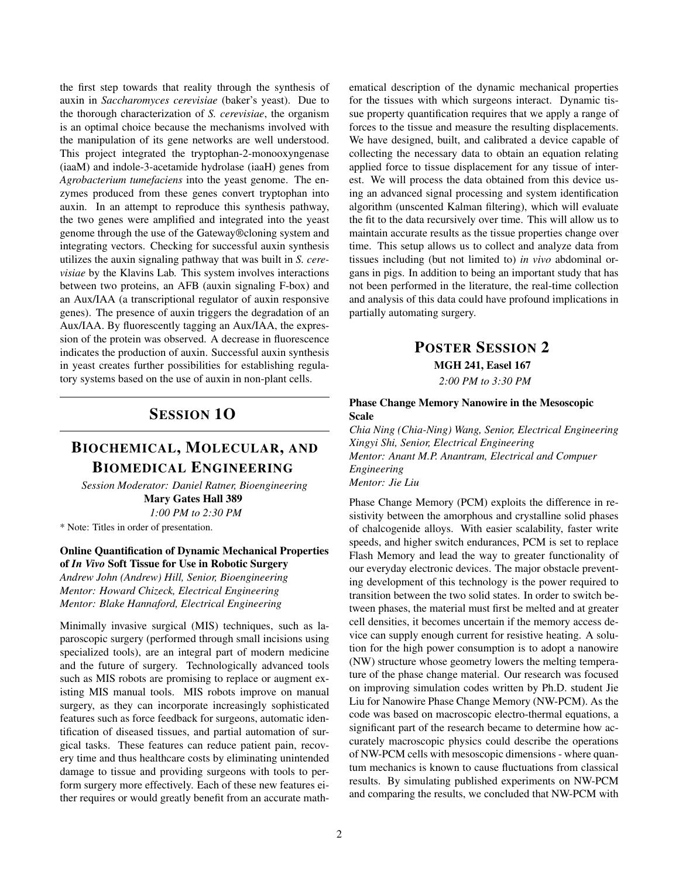the first step towards that reality through the synthesis of auxin in *Saccharomyces cerevisiae* (baker's yeast). Due to the thorough characterization of *S. cerevisiae*, the organism is an optimal choice because the mechanisms involved with the manipulation of its gene networks are well understood. This project integrated the tryptophan-2-monooxyngenase (iaaM) and indole-3-acetamide hydrolase (iaaH) genes from *Agrobacterium tumefaciens* into the yeast genome. The enzymes produced from these genes convert tryptophan into auxin. In an attempt to reproduce this synthesis pathway, the two genes were amplified and integrated into the yeast genome through the use of the Gateway®cloning system and integrating vectors. Checking for successful auxin synthesis utilizes the auxin signaling pathway that was built in *S. cerevisiae* by the Klavins Lab. This system involves interactions between two proteins, an AFB (auxin signaling F-box) and an Aux/IAA (a transcriptional regulator of auxin responsive genes). The presence of auxin triggers the degradation of an Aux/IAA. By fluorescently tagging an Aux/IAA, the expression of the protein was observed. A decrease in fluorescence indicates the production of auxin. Successful auxin synthesis in yeast creates further possibilities for establishing regulatory systems based on the use of auxin in non-plant cells.

### SESSION 1O

### BIOCHEMICAL, MOLECULAR, AND BIOMEDICAL ENGINEERING

*Session Moderator: Daniel Ratner, Bioengineering* Mary Gates Hall 389

*1:00 PM to 2:30 PM* \* Note: Titles in order of presentation.

## Online Quantification of Dynamic Mechanical Properties

of *In Vivo* Soft Tissue for Use in Robotic Surgery *Andrew John (Andrew) Hill, Senior, Bioengineering Mentor: Howard Chizeck, Electrical Engineering Mentor: Blake Hannaford, Electrical Engineering*

Minimally invasive surgical (MIS) techniques, such as laparoscopic surgery (performed through small incisions using specialized tools), are an integral part of modern medicine and the future of surgery. Technologically advanced tools such as MIS robots are promising to replace or augment existing MIS manual tools. MIS robots improve on manual surgery, as they can incorporate increasingly sophisticated features such as force feedback for surgeons, automatic identification of diseased tissues, and partial automation of surgical tasks. These features can reduce patient pain, recovery time and thus healthcare costs by eliminating unintended damage to tissue and providing surgeons with tools to perform surgery more effectively. Each of these new features either requires or would greatly benefit from an accurate mathematical description of the dynamic mechanical properties for the tissues with which surgeons interact. Dynamic tissue property quantification requires that we apply a range of forces to the tissue and measure the resulting displacements. We have designed, built, and calibrated a device capable of collecting the necessary data to obtain an equation relating applied force to tissue displacement for any tissue of interest. We will process the data obtained from this device using an advanced signal processing and system identification algorithm (unscented Kalman filtering), which will evaluate the fit to the data recursively over time. This will allow us to maintain accurate results as the tissue properties change over time. This setup allows us to collect and analyze data from tissues including (but not limited to) *in vivo* abdominal organs in pigs. In addition to being an important study that has not been performed in the literature, the real-time collection and analysis of this data could have profound implications in partially automating surgery.

### POSTER SESSION 2

MGH 241, Easel 167

*2:00 PM to 3:30 PM*

#### Phase Change Memory Nanowire in the Mesoscopic Scale

*Chia Ning (Chia-Ning) Wang, Senior, Electrical Engineering Xingyi Shi, Senior, Electrical Engineering Mentor: Anant M.P. Anantram, Electrical and Compuer Engineering Mentor: Jie Liu*

Phase Change Memory (PCM) exploits the difference in resistivity between the amorphous and crystalline solid phases of chalcogenide alloys. With easier scalability, faster write speeds, and higher switch endurances, PCM is set to replace Flash Memory and lead the way to greater functionality of our everyday electronic devices. The major obstacle preventing development of this technology is the power required to transition between the two solid states. In order to switch between phases, the material must first be melted and at greater cell densities, it becomes uncertain if the memory access device can supply enough current for resistive heating. A solution for the high power consumption is to adopt a nanowire (NW) structure whose geometry lowers the melting temperature of the phase change material. Our research was focused on improving simulation codes written by Ph.D. student Jie Liu for Nanowire Phase Change Memory (NW-PCM). As the code was based on macroscopic electro-thermal equations, a significant part of the research became to determine how accurately macroscopic physics could describe the operations of NW-PCM cells with mesoscopic dimensions - where quantum mechanics is known to cause fluctuations from classical results. By simulating published experiments on NW-PCM and comparing the results, we concluded that NW-PCM with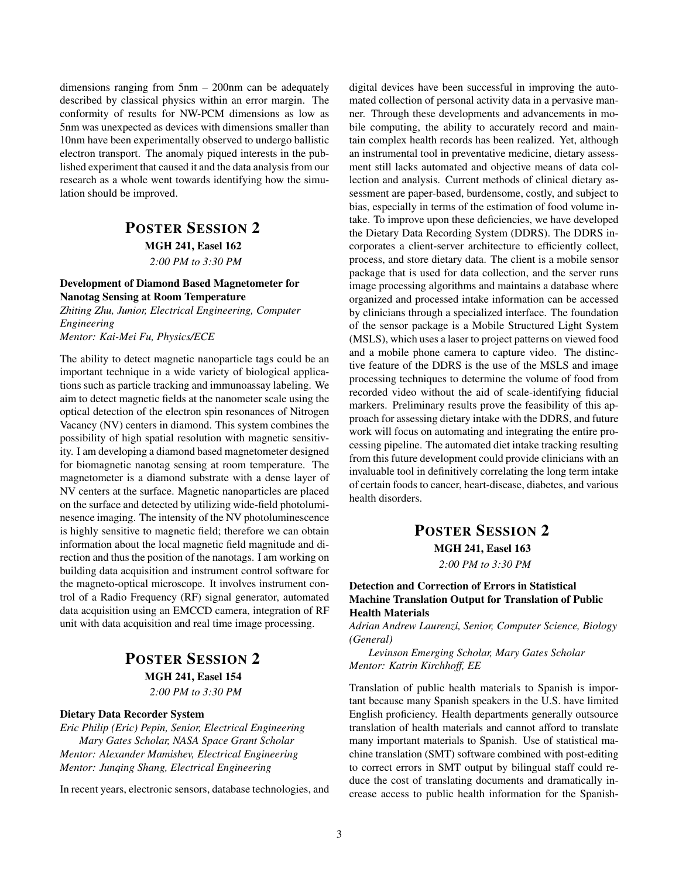dimensions ranging from 5nm – 200nm can be adequately described by classical physics within an error margin. The conformity of results for NW-PCM dimensions as low as 5nm was unexpected as devices with dimensions smaller than 10nm have been experimentally observed to undergo ballistic electron transport. The anomaly piqued interests in the published experiment that caused it and the data analysis from our research as a whole went towards identifying how the simulation should be improved.

### POSTER SESSION 2 MGH 241, Easel 162 *2:00 PM to 3:30 PM*

#### Development of Diamond Based Magnetometer for Nanotag Sensing at Room Temperature

*Zhiting Zhu, Junior, Electrical Engineering, Computer Engineering*

*Mentor: Kai-Mei Fu, Physics/ECE*

The ability to detect magnetic nanoparticle tags could be an important technique in a wide variety of biological applications such as particle tracking and immunoassay labeling. We aim to detect magnetic fields at the nanometer scale using the optical detection of the electron spin resonances of Nitrogen Vacancy (NV) centers in diamond. This system combines the possibility of high spatial resolution with magnetic sensitivity. I am developing a diamond based magnetometer designed for biomagnetic nanotag sensing at room temperature. The magnetometer is a diamond substrate with a dense layer of NV centers at the surface. Magnetic nanoparticles are placed on the surface and detected by utilizing wide-field photoluminesence imaging. The intensity of the NV photoluminescence is highly sensitive to magnetic field; therefore we can obtain information about the local magnetic field magnitude and direction and thus the position of the nanotags. I am working on building data acquisition and instrument control software for the magneto-optical microscope. It involves instrument control of a Radio Frequency (RF) signal generator, automated data acquisition using an EMCCD camera, integration of RF unit with data acquisition and real time image processing.

# POSTER SESSION 2 MGH 241, Easel 154

*2:00 PM to 3:30 PM*

#### Dietary Data Recorder System

*Eric Philip (Eric) Pepin, Senior, Electrical Engineering Mary Gates Scholar, NASA Space Grant Scholar Mentor: Alexander Mamishev, Electrical Engineering Mentor: Junqing Shang, Electrical Engineering*

In recent years, electronic sensors, database technologies, and

digital devices have been successful in improving the automated collection of personal activity data in a pervasive manner. Through these developments and advancements in mobile computing, the ability to accurately record and maintain complex health records has been realized. Yet, although an instrumental tool in preventative medicine, dietary assessment still lacks automated and objective means of data collection and analysis. Current methods of clinical dietary assessment are paper-based, burdensome, costly, and subject to bias, especially in terms of the estimation of food volume intake. To improve upon these deficiencies, we have developed the Dietary Data Recording System (DDRS). The DDRS incorporates a client-server architecture to efficiently collect, process, and store dietary data. The client is a mobile sensor package that is used for data collection, and the server runs image processing algorithms and maintains a database where organized and processed intake information can be accessed by clinicians through a specialized interface. The foundation of the sensor package is a Mobile Structured Light System (MSLS), which uses a laser to project patterns on viewed food and a mobile phone camera to capture video. The distinctive feature of the DDRS is the use of the MSLS and image processing techniques to determine the volume of food from recorded video without the aid of scale-identifying fiducial markers. Preliminary results prove the feasibility of this approach for assessing dietary intake with the DDRS, and future work will focus on automating and integrating the entire processing pipeline. The automated diet intake tracking resulting from this future development could provide clinicians with an invaluable tool in definitively correlating the long term intake of certain foods to cancer, heart-disease, diabetes, and various health disorders.

### POSTER SESSION 2

MGH 241, Easel 163

*2:00 PM to 3:30 PM*

#### Detection and Correction of Errors in Statistical Machine Translation Output for Translation of Public Health Materials

*Adrian Andrew Laurenzi, Senior, Computer Science, Biology (General)*

*Levinson Emerging Scholar, Mary Gates Scholar Mentor: Katrin Kirchhoff, EE*

Translation of public health materials to Spanish is important because many Spanish speakers in the U.S. have limited English proficiency. Health departments generally outsource translation of health materials and cannot afford to translate many important materials to Spanish. Use of statistical machine translation (SMT) software combined with post-editing to correct errors in SMT output by bilingual staff could reduce the cost of translating documents and dramatically increase access to public health information for the Spanish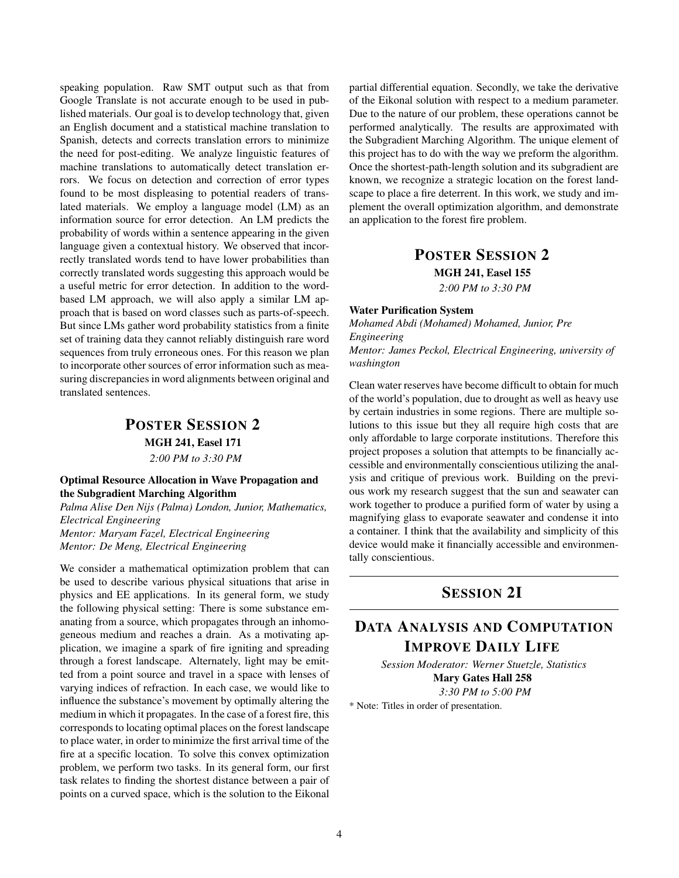speaking population. Raw SMT output such as that from Google Translate is not accurate enough to be used in published materials. Our goal is to develop technology that, given an English document and a statistical machine translation to Spanish, detects and corrects translation errors to minimize the need for post-editing. We analyze linguistic features of machine translations to automatically detect translation errors. We focus on detection and correction of error types found to be most displeasing to potential readers of translated materials. We employ a language model (LM) as an information source for error detection. An LM predicts the probability of words within a sentence appearing in the given language given a contextual history. We observed that incorrectly translated words tend to have lower probabilities than correctly translated words suggesting this approach would be a useful metric for error detection. In addition to the wordbased LM approach, we will also apply a similar LM approach that is based on word classes such as parts-of-speech. But since LMs gather word probability statistics from a finite set of training data they cannot reliably distinguish rare word sequences from truly erroneous ones. For this reason we plan to incorporate other sources of error information such as measuring discrepancies in word alignments between original and translated sentences.

### POSTER SESSION 2 MGH 241, Easel 171 *2:00 PM to 3:30 PM*

Optimal Resource Allocation in Wave Propagation and the Subgradient Marching Algorithm

*Palma Alise Den Nijs (Palma) London, Junior, Mathematics, Electrical Engineering Mentor: Maryam Fazel, Electrical Engineering Mentor: De Meng, Electrical Engineering*

We consider a mathematical optimization problem that can be used to describe various physical situations that arise in physics and EE applications. In its general form, we study the following physical setting: There is some substance emanating from a source, which propagates through an inhomogeneous medium and reaches a drain. As a motivating application, we imagine a spark of fire igniting and spreading through a forest landscape. Alternately, light may be emitted from a point source and travel in a space with lenses of varying indices of refraction. In each case, we would like to influence the substance's movement by optimally altering the medium in which it propagates. In the case of a forest fire, this corresponds to locating optimal places on the forest landscape to place water, in order to minimize the first arrival time of the fire at a specific location. To solve this convex optimization problem, we perform two tasks. In its general form, our first task relates to finding the shortest distance between a pair of points on a curved space, which is the solution to the Eikonal partial differential equation. Secondly, we take the derivative of the Eikonal solution with respect to a medium parameter. Due to the nature of our problem, these operations cannot be performed analytically. The results are approximated with the Subgradient Marching Algorithm. The unique element of this project has to do with the way we preform the algorithm. Once the shortest-path-length solution and its subgradient are known, we recognize a strategic location on the forest landscape to place a fire deterrent. In this work, we study and implement the overall optimization algorithm, and demonstrate an application to the forest fire problem.

### POSTER SESSION 2

MGH 241, Easel 155

*2:00 PM to 3:30 PM*

#### Water Purification System

*Mohamed Abdi (Mohamed) Mohamed, Junior, Pre Engineering Mentor: James Peckol, Electrical Engineering, university of washington*

Clean water reserves have become difficult to obtain for much of the world's population, due to drought as well as heavy use by certain industries in some regions. There are multiple solutions to this issue but they all require high costs that are only affordable to large corporate institutions. Therefore this project proposes a solution that attempts to be financially accessible and environmentally conscientious utilizing the analysis and critique of previous work. Building on the previous work my research suggest that the sun and seawater can work together to produce a purified form of water by using a magnifying glass to evaporate seawater and condense it into a container. I think that the availability and simplicity of this device would make it financially accessible and environmentally conscientious.

### SESSION 2I

## DATA ANALYSIS AND COMPUTATION IMPROVE DAILY LIFE

*Session Moderator: Werner Stuetzle, Statistics* Mary Gates Hall 258 *3:30 PM to 5:00 PM*

\* Note: Titles in order of presentation.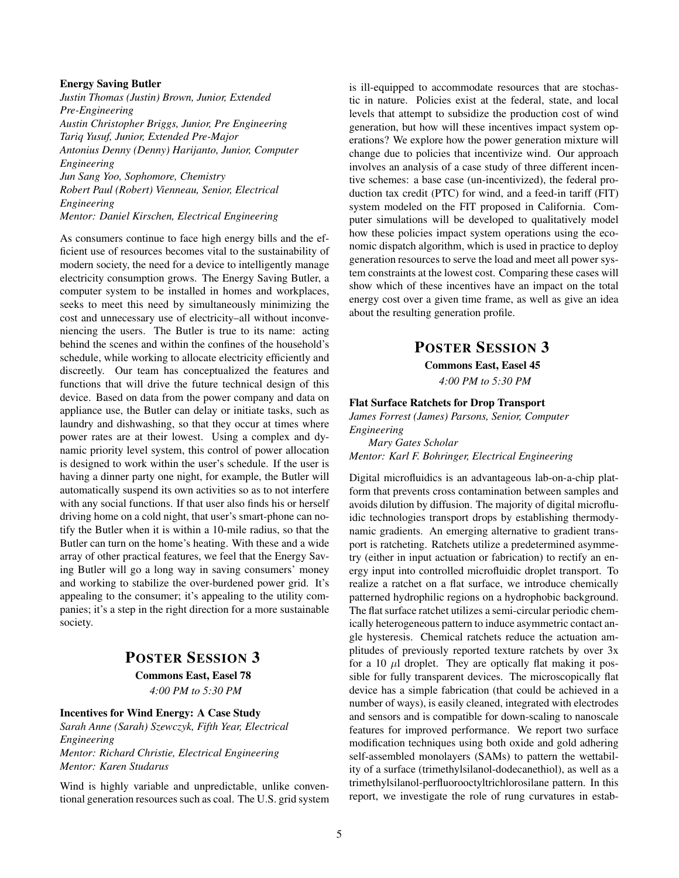#### Energy Saving Butler

*Justin Thomas (Justin) Brown, Junior, Extended Pre-Engineering Austin Christopher Briggs, Junior, Pre Engineering Tariq Yusuf, Junior, Extended Pre-Major Antonius Denny (Denny) Harijanto, Junior, Computer Engineering Jun Sang Yoo, Sophomore, Chemistry Robert Paul (Robert) Vienneau, Senior, Electrical Engineering Mentor: Daniel Kirschen, Electrical Engineering*

As consumers continue to face high energy bills and the efficient use of resources becomes vital to the sustainability of modern society, the need for a device to intelligently manage electricity consumption grows. The Energy Saving Butler, a computer system to be installed in homes and workplaces, seeks to meet this need by simultaneously minimizing the cost and unnecessary use of electricity–all without inconveniencing the users. The Butler is true to its name: acting behind the scenes and within the confines of the household's schedule, while working to allocate electricity efficiently and discreetly. Our team has conceptualized the features and functions that will drive the future technical design of this device. Based on data from the power company and data on appliance use, the Butler can delay or initiate tasks, such as laundry and dishwashing, so that they occur at times where power rates are at their lowest. Using a complex and dynamic priority level system, this control of power allocation is designed to work within the user's schedule. If the user is having a dinner party one night, for example, the Butler will automatically suspend its own activities so as to not interfere with any social functions. If that user also finds his or herself driving home on a cold night, that user's smart-phone can notify the Butler when it is within a 10-mile radius, so that the Butler can turn on the home's heating. With these and a wide array of other practical features, we feel that the Energy Saving Butler will go a long way in saving consumers' money and working to stabilize the over-burdened power grid. It's appealing to the consumer; it's appealing to the utility companies; it's a step in the right direction for a more sustainable society.

### POSTER SESSION 3

Commons East, Easel 78 *4:00 PM to 5:30 PM*

#### Incentives for Wind Energy: A Case Study

*Sarah Anne (Sarah) Szewczyk, Fifth Year, Electrical Engineering Mentor: Richard Christie, Electrical Engineering*

*Mentor: Karen Studarus*

Wind is highly variable and unpredictable, unlike conventional generation resources such as coal. The U.S. grid system is ill-equipped to accommodate resources that are stochastic in nature. Policies exist at the federal, state, and local levels that attempt to subsidize the production cost of wind generation, but how will these incentives impact system operations? We explore how the power generation mixture will change due to policies that incentivize wind. Our approach involves an analysis of a case study of three different incentive schemes: a base case (un-incentivized), the federal production tax credit (PTC) for wind, and a feed-in tariff (FIT) system modeled on the FIT proposed in California. Computer simulations will be developed to qualitatively model how these policies impact system operations using the economic dispatch algorithm, which is used in practice to deploy generation resources to serve the load and meet all power system constraints at the lowest cost. Comparing these cases will show which of these incentives have an impact on the total energy cost over a given time frame, as well as give an idea about the resulting generation profile.

### POSTER SESSION 3

Commons East, Easel 45

*4:00 PM to 5:30 PM*

#### Flat Surface Ratchets for Drop Transport

*James Forrest (James) Parsons, Senior, Computer Engineering*

*Mary Gates Scholar Mentor: Karl F. Bohringer, Electrical Engineering*

Digital microfluidics is an advantageous lab-on-a-chip platform that prevents cross contamination between samples and avoids dilution by diffusion. The majority of digital microfluidic technologies transport drops by establishing thermodynamic gradients. An emerging alternative to gradient transport is ratcheting. Ratchets utilize a predetermined asymmetry (either in input actuation or fabrication) to rectify an energy input into controlled microfluidic droplet transport. To realize a ratchet on a flat surface, we introduce chemically patterned hydrophilic regions on a hydrophobic background. The flat surface ratchet utilizes a semi-circular periodic chemically heterogeneous pattern to induce asymmetric contact angle hysteresis. Chemical ratchets reduce the actuation amplitudes of previously reported texture ratchets by over 3x for a 10  $\mu$ l droplet. They are optically flat making it possible for fully transparent devices. The microscopically flat device has a simple fabrication (that could be achieved in a number of ways), is easily cleaned, integrated with electrodes and sensors and is compatible for down-scaling to nanoscale features for improved performance. We report two surface modification techniques using both oxide and gold adhering self-assembled monolayers (SAMs) to pattern the wettability of a surface (trimethylsilanol-dodecanethiol), as well as a trimethylsilanol-perfluorooctyltrichlorosilane pattern. In this report, we investigate the role of rung curvatures in estab-